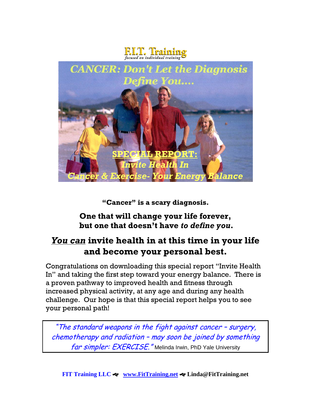



**"Cancer" is a scary diagnosis.**

#### **One that will change your life forever, but one that doesn't have** *to define you***.**

# *You can* **invite health in at this time in your life and become your personal best.**

Congratulations on downloading this special report "Invite Health In" and taking the first step toward your energy balance. There is a proven pathway to improved health and fitness through increased physical activity, at any age and during any health challenge. Our hope is that this special report helps you to see your personal path!

"The standard weapons in the fight against cancer – surgery, chemotherapy and radiation – may soon be joined by something far simpler: EXERCISE." Melinda Irwin, PhD Yale University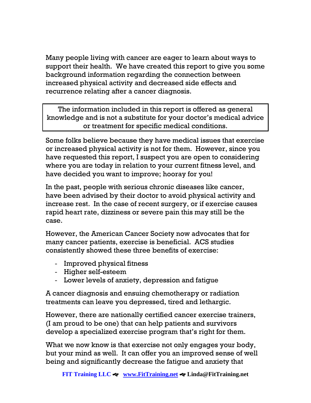Many people living with cancer are eager to learn about ways to support their health. We have created this report to give you some background information regarding the connection between increased physical activity and decreased side effects and recurrence relating after a cancer diagnosis.

The information included in this report is offered as general knowledge and is not a substitute for your doctor's medical advice or treatment for specific medical conditions.

Some folks believe because they have medical issues that exercise or increased physical activity is not for them. However, since you have requested this report, I suspect you are open to considering where you are today in relation to your current fitness level, and have decided you want to improve; hooray for you!

In the past, people with serious chronic diseases like cancer, have been advised by their doctor to avoid physical activity and increase rest. In the case of recent surgery, or if exercise causes rapid heart rate, dizziness or severe pain this may still be the case.

However, the American Cancer Society now advocates that for many cancer patients, exercise is beneficial. ACS studies consistently showed these three benefits of exercise:

- Improved physical fitness
- Higher self-esteem
- Lower levels of anxiety, depression and fatigue

A cancer diagnosis and ensuing chemotherapy or radiation treatments can leave you depressed, tired and lethargic.

However, there are nationally certified cancer exercise trainers, (I am proud to be one) that can help patients and survivors develop a specialized exercise program that's right for them.

What we now know is that exercise not only engages your body, but your mind as well. It can offer you an improved sense of well being and significantly decrease the fatigue and anxiety that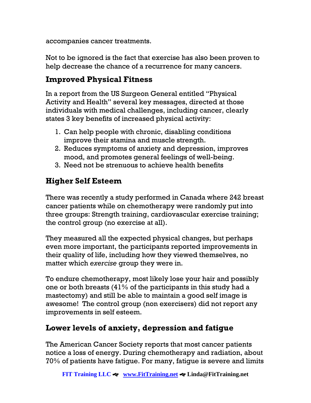accompanies cancer treatments.

Not to be ignored is the fact that exercise has also been proven to help decrease the chance of a recurrence for many cancers.

### **Improved Physical Fitness**

In a report from the US Surgeon General entitled "Physical Activity and Health" several key messages, directed at those individuals with medical challenges, including cancer, clearly states 3 key benefits of increased physical activity:

- 1. Can help people with chronic, disabling conditions improve their stamina and muscle strength.
- 2. Reduces symptoms of anxiety and depression, improves mood, and promotes general feelings of well-being.
- 3. Need not be strenuous to achieve health benefits

## **Higher Self Esteem**

There was recently a study performed in Canada where 242 breast cancer patients while on chemotherapy were randomly put into three groups: Strength training, cardiovascular exercise training; the control group (no exercise at all).

They measured all the expected physical changes, but perhaps even more important, the participants reported improvements in their quality of life, including how they viewed themselves, no matter which *exercise* group they were in.

To endure chemotherapy, most likely lose your hair and possibly one or both breasts (41% of the participants in this study had a mastectomy) and still be able to maintain a good self image is awesome! The control group (non exercisers) did not report any improvements in self esteem.

## **Lower levels of anxiety, depression and fatigue**

The American Cancer Society reports that most cancer patients notice a loss of energy. During chemotherapy and radiation, about 70% of patients have fatigue. For many, fatigue is severe and limits